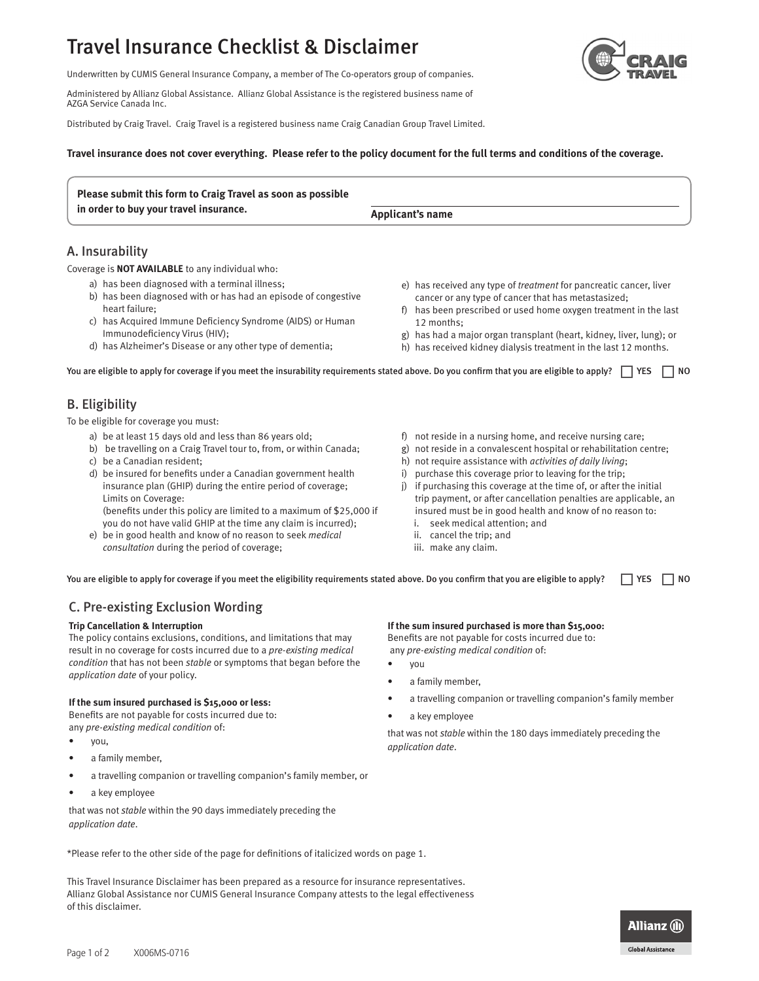# Travel Insurance Checklist & Disclaimer



Underwritten by CUMIS General Insurance Company, a member of The Co-operators group of companies.

Administered by Allianz Global Assistance. Allianz Global Assistance is the registered business name of AZGA Service Canada Inc.

Distributed by Craig Travel. Craig Travel is a registered business name Craig Canadian Group Travel Limited.

## **Travel insurance does not cover everything. Please refer to the policy document for the full terms and conditions of the coverage.**

| Please submit this form to Craig Travel as soon as possible |                  |  |
|-------------------------------------------------------------|------------------|--|
| in order to buy your travel insurance.                      | Applicant's name |  |

# A. Insurability

Coverage is **NOT AVAILABLE** to any individual who:

- a) has been diagnosed with a terminal illness;
- b) has been diagnosed with or has had an episode of congestive heart failure;
- c) has Acquired Immune Deficiency Syndrome (AIDS) or Human Immunodeficiency Virus (HIV);
- d) has Alzheimer's Disease or any other type of dementia;
- e) has received any type of *treatment* for pancreatic cancer, liver cancer or any type of cancer that has metastasized;
- f) has been prescribed or used home oxygen treatment in the last 12 months;
- g) has had a major organ transplant (heart, kidney, liver, lung); or
- h) has received kidney dialysis treatment in the last 12 months.

You are eligible to apply for coverage if you meet the insurability requirements stated above. Do you confirm that you are eligible to apply?  $\Box$  YES  $\Box$  NO

# B. Eligibility

To be eligible for coverage you must:

- a) be at least 15 days old and less than 86 years old;
- b) be travelling on a Craig Travel tour to, from, or within Canada;
- c) be a Canadian resident;
- d) be insured for benefits under a Canadian government health insurance plan (GHIP) during the entire period of coverage; Limits on Coverage: (benefits under this policy are limited to a maximum of \$25,000 if you do not have valid GHIP at the time any claim is incurred);
- e) be in good health and know of no reason to seek *medical consultation* during the period of coverage;
- f) not reside in a nursing home, and receive nursing care;
- g) not reside in a convalescent hospital or rehabilitation centre;
- h) not require assistance with *activities of daily living*;
- i) purchase this coverage prior to leaving for the trip;
- j) if purchasing this coverage at the time of, or after the initial trip payment, or after cancellation penalties are applicable, an insured must be in good health and know of no reason to:
	- i. seek medical attention; and
	- ii. cancel the trip; and
	- iii. make any claim.

You are eligible to apply for coverage if you meet the eligibility requirements stated above. Do you confirm that you are eligible to apply?  $\Box$  YES  $\Box$  NO

# C. Pre-existing Exclusion Wording

## **Trip Cancellation & Interruption**

The policy contains exclusions, conditions, and limitations that may result in no coverage for costs incurred due to a *pre-existing medical condition* that has not been *stable* or symptoms that began before the *application date* of your policy.

## **If the sum insured purchased is \$15,000 or less:**

Benefits are not payable for costs incurred due to: any *pre-existing medical condition* of:

- you,
- a family member,
- a travelling companion or travelling companion's family member, or
- a key employee

that was not *stable* within the 90 days immediately preceding the *application date*.

\*Please refer to the other side of the page for definitions of italicized words on page 1.

This Travel Insurance Disclaimer has been prepared as a resource for insurance representatives. Allianz Global Assistance nor CUMIS General Insurance Company attests to the legal effectiveness of this disclaimer.



Benefits are not payable for costs incurred due to: any *pre-existing medical condition* of:

- you
- a family member.
- a travelling companion or travelling companion's family member
- a key employee

that was not *stable* within the 180 days immediately preceding the *application date*.